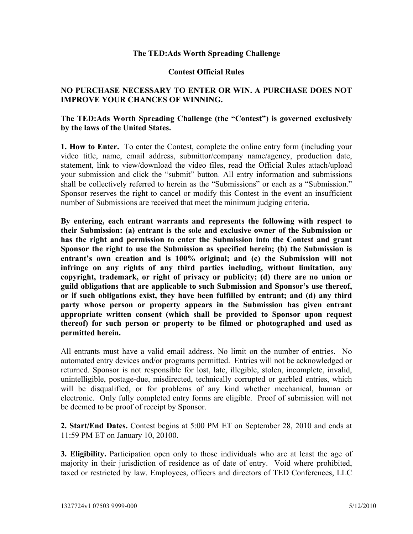## **The TED:Ads Worth Spreading Challenge**

## **Contest Official Rules**

## **NO PURCHASE NECESSARY TO ENTER OR WIN. A PURCHASE DOES NOT IMPROVE YOUR CHANCES OF WINNING.**

## **The TED:Ads Worth Spreading Challenge (the "Contest") is governed exclusively by the laws of the United States.**

**1. How to Enter.** To enter the Contest, complete the online entry form (including your video title, name, email address, submittor/company name/agency, production date, statement, link to view/download the video files, read the Official Rules attach/upload your submission and click the "submit" button. All entry information and submissions shall be collectively referred to herein as the "Submissions" or each as a "Submission." Sponsor reserves the right to cancel or modify this Contest in the event an insufficient number of Submissions are received that meet the minimum judging criteria.

**By entering, each entrant warrants and represents the following with respect to their Submission: (a) entrant is the sole and exclusive owner of the Submission or has the right and permission to enter the Submission into the Contest and grant Sponsor the right to use the Submission as specified herein; (b) the Submission is entrant's own creation and is 100% original; and (c) the Submission will not infringe on any rights of any third parties including, without limitation, any copyright, trademark, or right of privacy or publicity; (d) there are no union or guild obligations that are applicable to such Submission and Sponsor's use thereof, or if such obligations exist, they have been fulfilled by entrant; and (d) any third party whose person or property appears in the Submission has given entrant appropriate written consent (which shall be provided to Sponsor upon request thereof) for such person or property to be filmed or photographed and used as permitted herein.**

All entrants must have a valid email address. No limit on the number of entries. No automated entry devices and/or programs permitted. Entries will not be acknowledged or returned. Sponsor is not responsible for lost, late, illegible, stolen, incomplete, invalid, unintelligible, postage-due, misdirected, technically corrupted or garbled entries, which will be disqualified, or for problems of any kind whether mechanical, human or electronic. Only fully completed entry forms are eligible. Proof of submission will not be deemed to be proof of receipt by Sponsor.

**2. Start/End Dates.** Contest begins at 5:00 PM ET on September 28, 2010 and ends at 11:59 PM ET on January 10, 20100.

**3. Eligibility.** Participation open only to those individuals who are at least the age of majority in their jurisdiction of residence as of date of entry. Void where prohibited, taxed or restricted by law. Employees, officers and directors of TED Conferences, LLC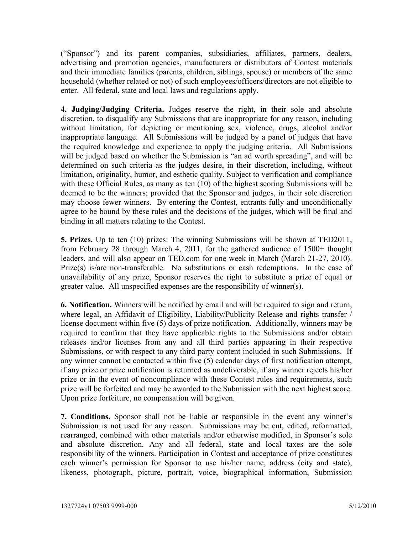("Sponsor") and its parent companies, subsidiaries, affiliates, partners, dealers, advertising and promotion agencies, manufacturers or distributors of Contest materials and their immediate families (parents, children, siblings, spouse) or members of the same household (whether related or not) of such employees/officers/directors are not eligible to enter. All federal, state and local laws and regulations apply.

**4. Judging/Judging Criteria.** Judges reserve the right, in their sole and absolute discretion, to disqualify any Submissions that are inappropriate for any reason, including without limitation, for depicting or mentioning sex, violence, drugs, alcohol and/or inappropriate language. All Submissions will be judged by a panel of judges that have the required knowledge and experience to apply the judging criteria. All Submissions will be judged based on whether the Submission is "an ad worth spreading", and will be determined on such criteria as the judges desire, in their discretion, including, without limitation, originality, humor, and esthetic quality. Subject to verification and compliance with these Official Rules, as many as ten (10) of the highest scoring Submissions will be deemed to be the winners; provided that the Sponsor and judges, in their sole discretion may choose fewer winners. By entering the Contest, entrants fully and unconditionally agree to be bound by these rules and the decisions of the judges, which will be final and binding in all matters relating to the Contest.

**5. Prizes.** Up to ten (10) prizes: The winning Submissions will be shown at TED2011, from February 28 through March 4, 2011, for the gathered audience of 1500+ thought leaders, and will also appear on TED.com for one week in March (March 21-27, 2010). Prize(s) is/are non-transferable. No substitutions or cash redemptions. In the case of unavailability of any prize, Sponsor reserves the right to substitute a prize of equal or greater value. All unspecified expenses are the responsibility of winner(s).

**6. Notification.** Winners will be notified by email and will be required to sign and return, where legal, an Affidavit of Eligibility, Liability/Publicity Release and rights transfer / license document within five (5) days of prize notification. Additionally, winners may be required to confirm that they have applicable rights to the Submissions and/or obtain releases and/or licenses from any and all third parties appearing in their respective Submissions, or with respect to any third party content included in such Submissions. If any winner cannot be contacted within five (5) calendar days of first notification attempt, if any prize or prize notification is returned as undeliverable, if any winner rejects his/her prize or in the event of noncompliance with these Contest rules and requirements, such prize will be forfeited and may be awarded to the Submission with the next highest score. Upon prize forfeiture, no compensation will be given.

**7. Conditions.** Sponsor shall not be liable or responsible in the event any winner's Submission is not used for any reason. Submissions may be cut, edited, reformatted, rearranged, combined with other materials and/or otherwise modified, in Sponsor's sole and absolute discretion. Any and all federal, state and local taxes are the sole responsibility of the winners. Participation in Contest and acceptance of prize constitutes each winner's permission for Sponsor to use his/her name, address (city and state), likeness, photograph, picture, portrait, voice, biographical information, Submission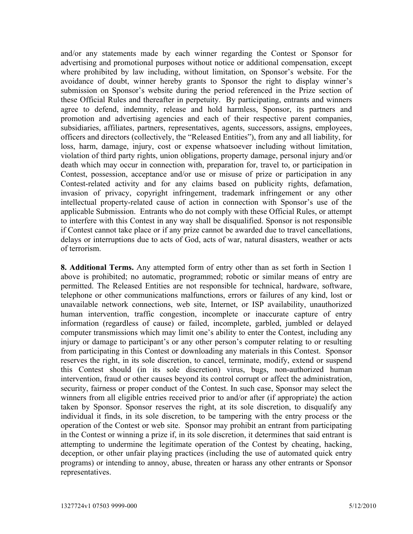and/or any statements made by each winner regarding the Contest or Sponsor for advertising and promotional purposes without notice or additional compensation, except where prohibited by law including, without limitation, on Sponsor's website. For the avoidance of doubt, winner hereby grants to Sponsor the right to display winner's submission on Sponsor's website during the period referenced in the Prize section of these Official Rules and thereafter in perpetuity. By participating, entrants and winners agree to defend, indemnity, release and hold harmless, Sponsor, its partners and promotion and advertising agencies and each of their respective parent companies, subsidiaries, affiliates, partners, representatives, agents, successors, assigns, employees, officers and directors (collectively, the "Released Entities"), from any and all liability, for loss, harm, damage, injury, cost or expense whatsoever including without limitation, violation of third party rights, union obligations, property damage, personal injury and/or death which may occur in connection with, preparation for, travel to, or participation in Contest, possession, acceptance and/or use or misuse of prize or participation in any Contest-related activity and for any claims based on publicity rights, defamation, invasion of privacy, copyright infringement, trademark infringement or any other intellectual property-related cause of action in connection with Sponsor's use of the applicable Submission. Entrants who do not comply with these Official Rules, or attempt to interfere with this Contest in any way shall be disqualified. Sponsor is not responsible if Contest cannot take place or if any prize cannot be awarded due to travel cancellations, delays or interruptions due to acts of God, acts of war, natural disasters, weather or acts of terrorism.

**8. Additional Terms.** Any attempted form of entry other than as set forth in Section 1 above is prohibited; no automatic, programmed; robotic or similar means of entry are permitted. The Released Entities are not responsible for technical, hardware, software, telephone or other communications malfunctions, errors or failures of any kind, lost or unavailable network connections, web site, Internet, or ISP availability, unauthorized human intervention, traffic congestion, incomplete or inaccurate capture of entry information (regardless of cause) or failed, incomplete, garbled, jumbled or delayed computer transmissions which may limit one's ability to enter the Contest, including any injury or damage to participant's or any other person's computer relating to or resulting from participating in this Contest or downloading any materials in this Contest. Sponsor reserves the right, in its sole discretion, to cancel, terminate, modify, extend or suspend this Contest should (in its sole discretion) virus, bugs, non-authorized human intervention, fraud or other causes beyond its control corrupt or affect the administration, security, fairness or proper conduct of the Contest. In such case, Sponsor may select the winners from all eligible entries received prior to and/or after (if appropriate) the action taken by Sponsor. Sponsor reserves the right, at its sole discretion, to disqualify any individual it finds, in its sole discretion, to be tampering with the entry process or the operation of the Contest or web site. Sponsor may prohibit an entrant from participating in the Contest or winning a prize if, in its sole discretion, it determines that said entrant is attempting to undermine the legitimate operation of the Contest by cheating, hacking, deception, or other unfair playing practices (including the use of automated quick entry programs) or intending to annoy, abuse, threaten or harass any other entrants or Sponsor representatives.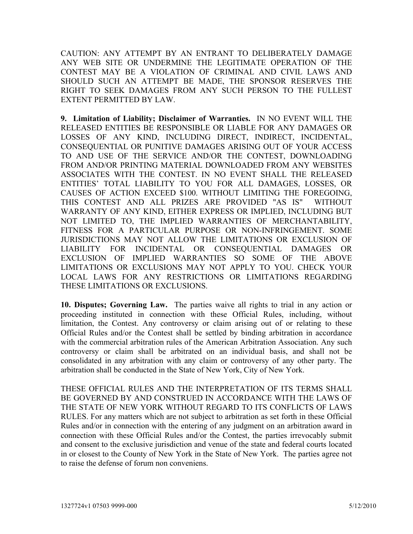CAUTION: ANY ATTEMPT BY AN ENTRANT TO DELIBERATELY DAMAGE ANY WEB SITE OR UNDERMINE THE LEGITIMATE OPERATION OF THE CONTEST MAY BE A VIOLATION OF CRIMINAL AND CIVIL LAWS AND SHOULD SUCH AN ATTEMPT BE MADE, THE SPONSOR RESERVES THE RIGHT TO SEEK DAMAGES FROM ANY SUCH PERSON TO THE FULLEST EXTENT PERMITTED BY LAW.

**9. Limitation of Liability; Disclaimer of Warranties.** IN NO EVENT WILL THE RELEASED ENTITIES BE RESPONSIBLE OR LIABLE FOR ANY DAMAGES OR LOSSES OF ANY KIND, INCLUDING DIRECT, INDIRECT, INCIDENTAL, CONSEQUENTIAL OR PUNITIVE DAMAGES ARISING OUT OF YOUR ACCESS TO AND USE OF THE SERVICE AND/OR THE CONTEST, DOWNLOADING FROM AND/OR PRINTING MATERIAL DOWNLOADED FROM ANY WEBSITES ASSOCIATES WITH THE CONTEST. IN NO EVENT SHALL THE RELEASED ENTITIES' TOTAL LIABILITY TO YOU FOR ALL DAMAGES, LOSSES, OR CAUSES OF ACTION EXCEED \$100. WITHOUT LIMITING THE FOREGOING, THIS CONTEST AND ALL PRIZES ARE PROVIDED "AS IS" WITHOUT WARRANTY OF ANY KIND, EITHER EXPRESS OR IMPLIED, INCLUDING BUT NOT LIMITED TO, THE IMPLIED WARRANTIES OF MERCHANTABILITY, FITNESS FOR A PARTICULAR PURPOSE OR NON-INFRINGEMENT. SOME JURISDICTIONS MAY NOT ALLOW THE LIMITATIONS OR EXCLUSION OF LIABILITY FOR INCIDENTAL OR CONSEQUENTIAL DAMAGES OR EXCLUSION OF IMPLIED WARRANTIES SO SOME OF THE ABOVE LIMITATIONS OR EXCLUSIONS MAY NOT APPLY TO YOU. CHECK YOUR LOCAL LAWS FOR ANY RESTRICTIONS OR LIMITATIONS REGARDING THESE LIMITATIONS OR EXCLUSIONS.

**10. Disputes; Governing Law.** The parties waive all rights to trial in any action or proceeding instituted in connection with these Official Rules, including, without limitation, the Contest. Any controversy or claim arising out of or relating to these Official Rules and/or the Contest shall be settled by binding arbitration in accordance with the commercial arbitration rules of the American Arbitration Association. Any such controversy or claim shall be arbitrated on an individual basis, and shall not be consolidated in any arbitration with any claim or controversy of any other party. The arbitration shall be conducted in the State of New York, City of New York.

THESE OFFICIAL RULES AND THE INTERPRETATION OF ITS TERMS SHALL BE GOVERNED BY AND CONSTRUED IN ACCORDANCE WITH THE LAWS OF THE STATE OF NEW YORK WITHOUT REGARD TO ITS CONFLICTS OF LAWS RULES. For any matters which are not subject to arbitration as set forth in these Official Rules and/or in connection with the entering of any judgment on an arbitration award in connection with these Official Rules and/or the Contest, the parties irrevocably submit and consent to the exclusive jurisdiction and venue of the state and federal courts located in or closest to the County of New York in the State of New York. The parties agree not to raise the defense of forum non conveniens.